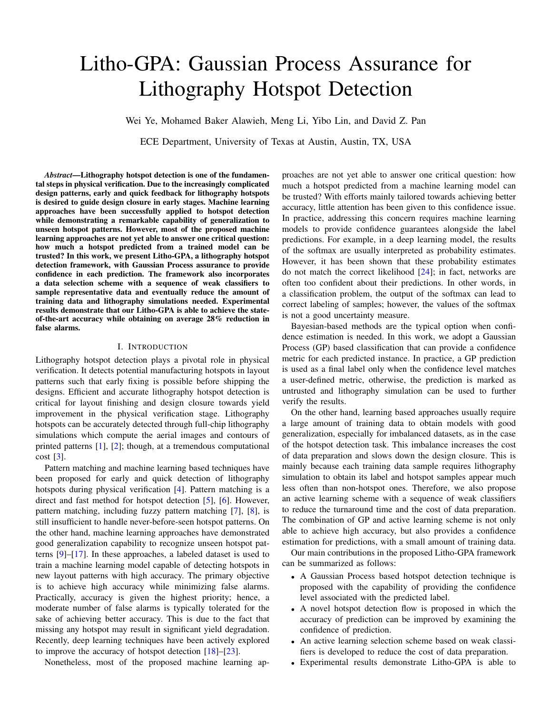# Litho-GPA: Gaussian Process Assurance for Lithography Hotspot Detection

Wei Ye, Mohamed Baker Alawieh, Meng Li, Yibo Lin, and David Z. Pan

ECE Department, University of Texas at Austin, Austin, TX, USA

*Abstract*—Lithography hotspot detection is one of the fundamental steps in physical verification. Due to the increasingly complicated design patterns, early and quick feedback for lithography hotspots is desired to guide design closure in early stages. Machine learning approaches have been successfully applied to hotspot detection while demonstrating a remarkable capability of generalization to unseen hotspot patterns. However, most of the proposed machine learning approaches are not yet able to answer one critical question: how much a hotspot predicted from a trained model can be trusted? In this work, we present Litho-GPA, a lithography hotspot detection framework, with Gaussian Process assurance to provide confidence in each prediction. The framework also incorporates a data selection scheme with a sequence of weak classifiers to sample representative data and eventually reduce the amount of training data and lithography simulations needed. Experimental results demonstrate that our Litho-GPA is able to achieve the stateof-the-art accuracy while obtaining on average 28% reduction in false alarms.

## I. INTRODUCTION

Lithography hotspot detection plays a pivotal role in physical verification. It detects potential manufacturing hotspots in layout patterns such that early fixing is possible before shipping the designs. Efficient and accurate lithography hotspot detection is critical for layout finishing and design closure towards yield improvement in the physical verification stage. Lithography hotspots can be accurately detected through full-chip lithography simulations which compute the aerial images and contours of printed patterns [\[1\]](#page-5-0), [\[2\]](#page-5-1); though, at a tremendous computational cost  $[3]$ .

Pattern matching and machine learning based techniques have been proposed for early and quick detection of lithography hotspots during physical verification [\[4\]](#page-5-3). Pattern matching is a direct and fast method for hotspot detection [\[5\]](#page-5-4), [\[6\]](#page-5-5). However, pattern matching, including fuzzy pattern matching [\[7\]](#page-5-6), [\[8\]](#page-5-7), is still insufficient to handle never-before-seen hotspot patterns. On the other hand, machine learning approaches have demonstrated good generalization capability to recognize unseen hotspot patterns [\[9\]](#page-5-8)–[\[17\]](#page-5-9). In these approaches, a labeled dataset is used to train a machine learning model capable of detecting hotspots in new layout patterns with high accuracy. The primary objective is to achieve high accuracy while minimizing false alarms. Practically, accuracy is given the highest priority; hence, a moderate number of false alarms is typically tolerated for the sake of achieving better accuracy. This is due to the fact that missing any hotspot may result in significant yield degradation. Recently, deep learning techniques have been actively explored to improve the accuracy of hotspot detection [\[18\]](#page-5-10)–[\[23\]](#page-5-11).

Nonetheless, most of the proposed machine learning ap-

proaches are not yet able to answer one critical question: how much a hotspot predicted from a machine learning model can be trusted? With efforts mainly tailored towards achieving better accuracy, little attention has been given to this confidence issue. In practice, addressing this concern requires machine learning models to provide confidence guarantees alongside the label predictions. For example, in a deep learning model, the results of the softmax are usually interpreted as probability estimates. However, it has been shown that these probability estimates do not match the correct likelihood [\[24\]](#page-5-12); in fact, networks are often too confident about their predictions. In other words, in a classification problem, the output of the softmax can lead to correct labeling of samples; however, the values of the softmax is not a good uncertainty measure.

Bayesian-based methods are the typical option when confidence estimation is needed. In this work, we adopt a Gaussian Process (GP) based classification that can provide a confidence metric for each predicted instance. In practice, a GP prediction is used as a final label only when the confidence level matches a user-defined metric, otherwise, the prediction is marked as untrusted and lithography simulation can be used to further verify the results.

On the other hand, learning based approaches usually require a large amount of training data to obtain models with good generalization, especially for imbalanced datasets, as in the case of the hotspot detection task. This imbalance increases the cost of data preparation and slows down the design closure. This is mainly because each training data sample requires lithography simulation to obtain its label and hotspot samples appear much less often than non-hotspot ones. Therefore, we also propose an active learning scheme with a sequence of weak classifiers to reduce the turnaround time and the cost of data preparation. The combination of GP and active learning scheme is not only able to achieve high accuracy, but also provides a confidence estimation for predictions, with a small amount of training data.

Our main contributions in the proposed Litho-GPA framework can be summarized as follows:

- A Gaussian Process based hotspot detection technique is proposed with the capability of providing the confidence level associated with the predicted label.
- A novel hotspot detection flow is proposed in which the accuracy of prediction can be improved by examining the confidence of prediction.
- An active learning selection scheme based on weak classifiers is developed to reduce the cost of data preparation.
- Experimental results demonstrate Litho-GPA is able to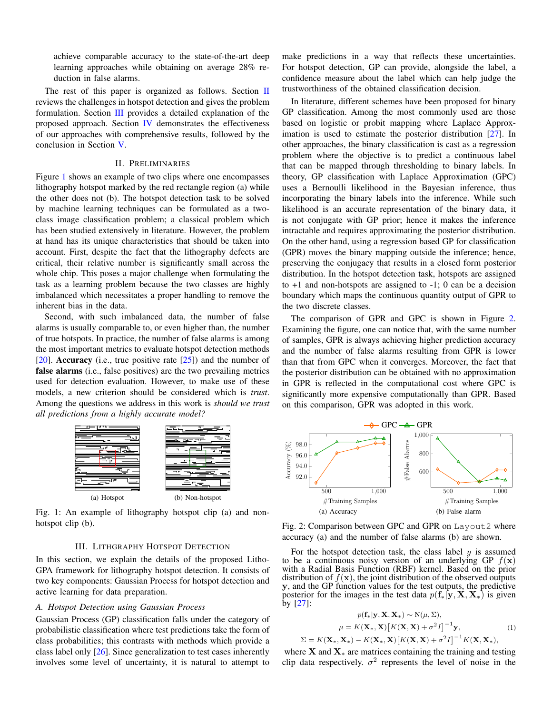achieve comparable accuracy to the state-of-the-art deep learning approaches while obtaining on average 28% reduction in false alarms.

The rest of this paper is organized as follows. Section [II](#page-1-0) reviews the challenges in hotspot detection and gives the problem formulation. Section [III](#page-1-1) provides a detailed explanation of the proposed approach. Section [IV](#page-3-0) demonstrates the effectiveness of our approaches with comprehensive results, followed by the conclusion in Section [V.](#page-4-0)

# II. PRELIMINARIES

<span id="page-1-0"></span>Figure [1](#page-1-2) shows an example of two clips where one encompasses lithography hotspot marked by the red rectangle region (a) while the other does not (b). The hotspot detection task to be solved by machine learning techniques can be formulated as a twoclass image classification problem; a classical problem which has been studied extensively in literature. However, the problem at hand has its unique characteristics that should be taken into account. First, despite the fact that the lithography defects are critical, their relative number is significantly small across the whole chip. This poses a major challenge when formulating the task as a learning problem because the two classes are highly imbalanced which necessitates a proper handling to remove the inherent bias in the data.

Second, with such imbalanced data, the number of false alarms is usually comparable to, or even higher than, the number of true hotspots. In practice, the number of false alarms is among the most important metrics to evaluate hotspot detection methods [\[20\]](#page-5-13). Accuracy (i.e., true positive rate [\[25\]](#page-5-14)) and the number of false alarms (i.e., false positives) are the two prevailing metrics used for detection evaluation. However, to make use of these models, a new criterion should be considered which is *trust*. Among the questions we address in this work is *should we trust all predictions from a highly accurate model?*

<span id="page-1-2"></span>

Fig. 1: An example of lithography hotspot clip (a) and nonhotspot clip (b).

# III. LITHGRAPHY HOTSPOT DETECTION

<span id="page-1-1"></span>In this section, we explain the details of the proposed Litho-GPA framework for lithography hotspot detection. It consists of two key components: Gaussian Process for hotspot detection and active learning for data preparation.

## <span id="page-1-5"></span>*A. Hotspot Detection using Gaussian Process*

Gaussian Process (GP) classification falls under the category of probabilistic classification where test predictions take the form of class probabilities; this contrasts with methods which provide a class label only [\[26\]](#page-5-15). Since generalization to test cases inherently involves some level of uncertainty, it is natural to attempt to make predictions in a way that reflects these uncertainties. For hotspot detection, GP can provide, alongside the label, a confidence measure about the label which can help judge the trustworthiness of the obtained classification decision.

In literature, different schemes have been proposed for binary GP classification. Among the most commonly used are those based on logistic or probit mapping where Laplace Approximation is used to estimate the posterior distribution [\[27\]](#page-5-16). In other approaches, the binary classification is cast as a regression problem where the objective is to predict a continuous label that can be mapped through thresholding to binary labels. In theory, GP classification with Laplace Approximation (GPC) uses a Bernoulli likelihood in the Bayesian inference, thus incorporating the binary labels into the inference. While such likelihood is an accurate representation of the binary data, it is not conjugate with GP prior; hence it makes the inference intractable and requires approximating the posterior distribution. On the other hand, using a regression based GP for classification (GPR) moves the binary mapping outside the inference; hence, preserving the conjugacy that results in a closed form posterior distribution. In the hotspot detection task, hotspots are assigned to +1 and non-hotspots are assigned to -1; 0 can be a decision boundary which maps the continuous quantity output of GPR to the two discrete classes.

The comparison of GPR and GPC is shown in Figure [2.](#page-1-3) Examining the figure, one can notice that, with the same number of samples, GPR is always achieving higher prediction accuracy and the number of false alarms resulting from GPR is lower than that from GPC when it converges. Moreover, the fact that the posterior distribution can be obtained with no approximation in GPR is reflected in the computational cost where GPC is significantly more expensive computationally than GPR. Based on this comparison, GPR was adopted in this work.

<span id="page-1-3"></span>

Fig. 2: Comparison between GPC and GPR on Layout 2 where accuracy (a) and the number of false alarms (b) are shown.

For the hotspot detection task, the class label  $y$  is assumed to be a continuous noisy version of an underlying GP  $f(\mathbf{x})$ with a Radial Basis Function (RBF) kernel. Based on the prior distribution of  $f(x)$ , the joint distribution of the observed outputs y, and the GP function values for the test outputs, the predictive y, and the GP function values for the test outputs, the predictive posterior for the images in the test data  $p(\mathbf{f}_*|\mathbf{y}, \mathbf{X}, \mathbf{X}_*)$  is given by [\[27\]](#page-5-16):

<span id="page-1-4"></span>
$$
p(\mathbf{f}_*|\mathbf{y}, \mathbf{X}, \mathbf{X}_*) \sim \mathcal{N}(\mu, \Sigma),
$$

$$
\mu = K(\mathbf{X}_*, \mathbf{X}) \left[ K(\mathbf{X}, \mathbf{X}) + \sigma^2 I \right]^{-1} \mathbf{y}, \tag{1}
$$

$$
\Sigma = K(\mathbf{X}_*, \mathbf{X}_*) - K(\mathbf{X}_*, \mathbf{X}) \left[ K(\mathbf{X}, \mathbf{X}) + \sigma^2 I \right]^{-1} K(\mathbf{X}, \mathbf{X}_*),
$$

where  $X$  and  $X_*$  are matrices containing the training and testing clip data respectively.  $\sigma^2$  represents the level of noise in the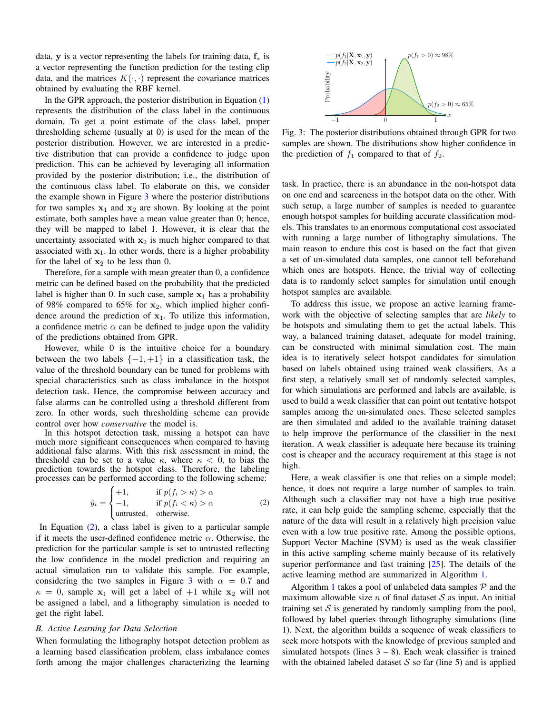data, y is a vector representing the labels for training data,  $f_*$  is a vector representing the function prediction for the testing clip data, and the matrices  $K(\cdot, \cdot)$  represent the covariance matrices obtained by evaluating the RBF kernel.

In the GPR approach, the posterior distribution in Equation  $(1)$ represents the distribution of the class label in the continuous domain. To get a point estimate of the class label, proper thresholding scheme (usually at 0) is used for the mean of the posterior distribution. However, we are interested in a predictive distribution that can provide a confidence to judge upon prediction. This can be achieved by leveraging all information provided by the posterior distribution; i.e., the distribution of the continuous class label. To elaborate on this, we consider the example shown in Figure [3](#page-2-0) where the posterior distributions for two samples  $x_1$  and  $x_2$  are shown. By looking at the point estimate, both samples have a mean value greater than 0; hence, they will be mapped to label 1. However, it is clear that the uncertainty associated with  $x_2$  is much higher compared to that associated with  $x_1$ . In other words, there is a higher probability for the label of  $x_2$  to be less than 0.

Therefore, for a sample with mean greater than 0, a confidence metric can be defined based on the probability that the predicted label is higher than 0. In such case, sample  $x_1$  has a probability of 98% compared to 65% for  $x_2$ , which implied higher confidence around the prediction of  $x_1$ . To utilize this information, a confidence metric  $\alpha$  can be defined to judge upon the validity of the predictions obtained from GPR.

However, while 0 is the intuitive choice for a boundary between the two labels  $\{-1, +1\}$  in a classification task, the value of the threshold boundary can be tuned for problems with special characteristics such as class imbalance in the hotspot detection task. Hence, the compromise between accuracy and false alarms can be controlled using a threshold different from zero. In other words, such thresholding scheme can provide control over how *conservative* the model is.

In this hotspot detection task, missing a hotspot can have much more significant consequences when compared to having additional false alarms. With this risk assessment in mind, the threshold can be set to a value  $\kappa$ , where  $\kappa < 0$ , to bias the prediction towards the hotspot class. Therefore, the labeling processes can be performed according to the following scheme:

<span id="page-2-1"></span>
$$
\hat{y}_i = \begin{cases}\n+1, & \text{if } p(f_i > \kappa) > \alpha \\
-1, & \text{if } p(f_i < \kappa) > \alpha \\
\text{untrusted, otherwise.} \n\end{cases}
$$
\n(2)

In Equation [\(2\)](#page-2-1), a class label is given to a particular sample if it meets the user-defined confidence metric  $\alpha$ . Otherwise, the prediction for the particular sample is set to untrusted reflecting the low confidence in the model prediction and requiring an actual simulation run to validate this sample. For example, considering the two samples in Figure [3](#page-2-0) with  $\alpha = 0.7$  and  $\kappa = 0$ , sample  $x_1$  will get a label of  $+1$  while  $x_2$  will not be assigned a label, and a lithography simulation is needed to get the right label.

# <span id="page-2-2"></span>*B. Active Learning for Data Selection*

When formulating the lithography hotspot detection problem as a learning based classification problem, class imbalance comes forth among the major challenges characterizing the learning

<span id="page-2-0"></span>

Fig. 3: The posterior distributions obtained through GPR for two samples are shown. The distributions show higher confidence in the prediction of  $f_1$  compared to that of  $f_2$ .

task. In practice, there is an abundance in the non-hotspot data on one end and scarceness in the hotspot data on the other. With such setup, a large number of samples is needed to guarantee enough hotspot samples for building accurate classification models. This translates to an enormous computational cost associated with running a large number of lithography simulations. The main reason to endure this cost is based on the fact that given a set of un-simulated data samples, one cannot tell beforehand which ones are hotspots. Hence, the trivial way of collecting data is to randomly select samples for simulation until enough hotspot samples are available.

To address this issue, we propose an active learning framework with the objective of selecting samples that are *likely* to be hotspots and simulating them to get the actual labels. This way, a balanced training dataset, adequate for model training, can be constructed with minimal simulation cost. The main idea is to iteratively select hotspot candidates for simulation based on labels obtained using trained weak classifiers. As a first step, a relatively small set of randomly selected samples, for which simulations are performed and labels are available, is used to build a weak classifier that can point out tentative hotspot samples among the un-simulated ones. These selected samples are then simulated and added to the available training dataset to help improve the performance of the classifier in the next iteration. A weak classifier is adequate here because its training cost is cheaper and the accuracy requirement at this stage is not high.

Here, a weak classifier is one that relies on a simple model; hence, it does not require a large number of samples to train. Although such a classifier may not have a high true positive rate, it can help guide the sampling scheme, especially that the nature of the data will result in a relatively high precision value even with a low true positive rate. Among the possible options, Support Vector Machine (SVM) is used as the weak classifier in this active sampling scheme mainly because of its relatively superior performance and fast training [\[25\]](#page-5-14). The details of the active learning method are summarized in Algorithm [1.](#page-3-1)

Algorithm [1](#page-3-1) takes a pool of unlabeled data samples  $P$  and the maximum allowable size n of final dataset  $S$  as input. An initial training set  $S$  is generated by randomly sampling from the pool, followed by label queries through lithography simulations (line 1). Next, the algorithm builds a sequence of weak classifiers to seek more hotspots with the knowledge of previous sampled and simulated hotspots (lines  $3 - 8$ ). Each weak classifier is trained with the obtained labeled dataset  $S$  so far (line 5) and is applied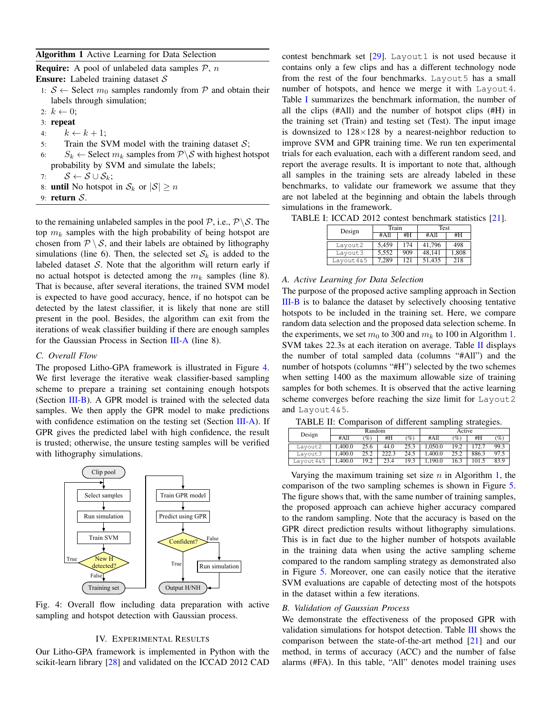## <span id="page-3-1"></span>Algorithm 1 Active Learning for Data Selection

**Require:** A pool of unlabeled data samples  $P$ ,  $n$ **Ensure:** Labeled training dataset  $S$ 

1: S ← Select  $m_0$  samples randomly from P and obtain their labels through simulation;

```
2: k \leftarrow 0;
```
- 3: repeat
- 4:  $k \leftarrow k + 1$ ;
- 5: Train the SVM model with the training dataset  $S$ ;
- 6:  $S_k \leftarrow$  Select  $m_k$  samples from  $\mathcal{P} \backslash \mathcal{S}$  with highest hotspot probability by SVM and simulate the labels;
- 7:  $S \leftarrow S \cup S_k$ ;
- 8: **until** No hotspot in  $S_k$  or  $|S| \ge n$
- 9: return  $S$ .

to the remaining unlabeled samples in the pool  $P$ , i.e.,  $P \setminus S$ . The top  $m_k$  samples with the high probability of being hotspot are chosen from  $P \setminus S$ , and their labels are obtained by lithography simulations (line 6). Then, the selected set  $S_k$  is added to the labeled dataset  $S$ . Note that the algorithm will return early if no actual hotspot is detected among the  $m_k$  samples (line 8). That is because, after several iterations, the trained SVM model is expected to have good accuracy, hence, if no hotspot can be detected by the latest classifier, it is likely that none are still present in the pool. Besides, the algorithm can exit from the iterations of weak classifier building if there are enough samples for the Gaussian Process in Section [III-A](#page-1-5) (line 8).

# *C. Overall Flow*

The proposed Litho-GPA framework is illustrated in Figure [4.](#page-3-2) We first leverage the iterative weak classifier-based sampling scheme to prepare a training set containing enough hotspots (Section [III-B\)](#page-2-2). A GPR model is trained with the selected data samples. We then apply the GPR model to make predictions with confidence estimation on the testing set (Section [III-A\)](#page-1-5). If GPR gives the predicted label with high confidence, the result is trusted; otherwise, the unsure testing samples will be verified with lithography simulations.

<span id="page-3-2"></span>

Fig. 4: Overall flow including data preparation with active sampling and hotspot detection with Gaussian process.

# IV. EXPERIMENTAL RESULTS

<span id="page-3-0"></span>Our Litho-GPA framework is implemented in Python with the scikit-learn library [\[28\]](#page-5-17) and validated on the ICCAD 2012 CAD contest benchmark set  $[29]$ . Layout 1 is not used because it contains only a few clips and has a different technology node from the rest of the four benchmarks. Layout5 has a small number of hotspots, and hence we merge it with Layout 4. Table [I](#page-3-3) summarizes the benchmark information, the number of all the clips (#All) and the number of hotspot clips (#H) in the training set (Train) and testing set (Test). The input image is downsized to  $128 \times 128$  by a nearest-neighbor reduction to improve SVM and GPR training time. We run ten experimental trials for each evaluation, each with a different random seed, and report the average results. It is important to note that, although all samples in the training sets are already labeled in these benchmarks, to validate our framework we assume that they are not labeled at the beginning and obtain the labels through simulations in the framework.

<span id="page-3-3"></span>TABLE I: ICCAD 2012 contest benchmark statistics [\[21\]](#page-5-19).

| Design    | Train |     | Test   |       |  |  |
|-----------|-------|-----|--------|-------|--|--|
|           | #All  | #H  | #All   | #H    |  |  |
| Layout2   | 5.459 | 174 | 41,796 | 498   |  |  |
| Layout3   | 5,552 | 909 | 48,141 | 1,808 |  |  |
| Lavout4&5 | 7.289 | 121 | 51,435 | 218   |  |  |

## *A. Active Learning for Data Selection*

The purpose of the proposed active sampling approach in Section [III-B](#page-2-2) is to balance the dataset by selectively choosing tentative hotspots to be included in the training set. Here, we compare random data selection and the proposed data selection scheme. In the experiments, we set  $m_0$  to 300 and  $m_k$  to 100 in Algorithm [1.](#page-3-1) SVM takes 22.3s at each iteration on average. Table [II](#page-3-4) displays the number of total sampled data (columns "#All") and the number of hotspots (columns "#H") selected by the two schemes when setting 1400 as the maximum allowable size of training samples for both schemes. It is observed that the active learning scheme converges before reaching the size limit for Layout2 and Layout4&5.

<span id="page-3-4"></span>TABLE II: Comparison of different sampling strategies.

| Design    |         | Random |       |      | Active  |      |       |                 |  |
|-----------|---------|--------|-------|------|---------|------|-------|-----------------|--|
|           | #All    | (%)    | #H    | (%)  | #All    | (9)  | #H    | $\mathscr{G}_o$ |  |
| Layout2   | 1.400.0 | 25.6   | 44.0  | 25.3 | 1.050.0 | 19.2 | 172.7 | 99.3            |  |
| Layout3   | 1.400.0 | 25.2   | 222.3 | 24.5 | 1.400.0 | 25.2 | 886.3 | 97.5            |  |
| Lavout4&5 | 1.400.0 | 19.2   | 23.4  | 19.3 | 1.190.0 | 16.3 | 101.5 | 83.9            |  |

Varying the maximum training set size  $n$  in Algorithm [1,](#page-3-1) the comparison of the two sampling schemes is shown in Figure [5.](#page-4-1) The figure shows that, with the same number of training samples, the proposed approach can achieve higher accuracy compared to the random sampling. Note that the accuracy is based on the GPR direct prediction results without lithography simulations. This is in fact due to the higher number of hotspots available in the training data when using the active sampling scheme compared to the random sampling strategy as demonstrated also in Figure [5.](#page-4-1) Moreover, one can easily notice that the iterative SVM evaluations are capable of detecting most of the hotspots in the dataset within a few iterations.

## *B. Validation of Gaussian Process*

We demonstrate the effectiveness of the proposed GPR with validation simulations for hotspot detection. Table [III](#page-4-2) shows the comparison between the state-of-the-art method [\[21\]](#page-5-19) and our method, in terms of accuracy (ACC) and the number of false alarms (#FA). In this table, "All" denotes model training uses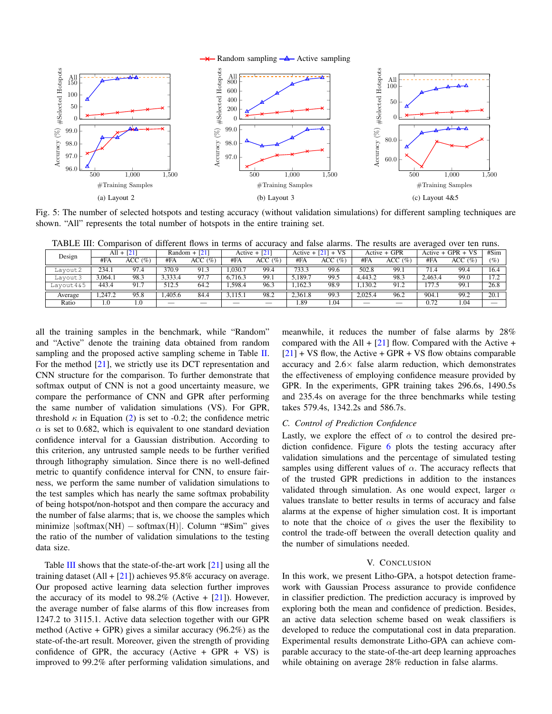<span id="page-4-1"></span>

Fig. 5: The number of selected hotspots and testing accuracy (without validation simulations) for different sampling techniques are shown. "All" represents the total number of hotspots in the entire training set.

<span id="page-4-2"></span>TABLE III: Comparison of different flows in terms of accuracy and false alarms. The results are averaged over ten runs.

| Design    | $All + [21]$ |                  | Random + $[21]$ |        | Active $+$ [21] |        | Active + $[21]$ + VS |        | Active + GPR |                      | $Active + GPR + VS$ |        | #Sim   |  |
|-----------|--------------|------------------|-----------------|--------|-----------------|--------|----------------------|--------|--------------|----------------------|---------------------|--------|--------|--|
|           | #FA          | ACC(%)           | #FA             | ACC(%) | #FA             | ACC(%) | #FA                  | ACC(%) | #FA          | $\overline{ACC}$ (%) | #FA                 | ACC(%) | $(\%)$ |  |
| Layout2   | 234.1        | 97.4             | 370.9           | 91.3   | .030.7          | 99.4   | 733.3                | 99.6   | 502.8        | 99.1                 | 71.4                | 99.4   | 16.4   |  |
| Layout3   | 3.064.1      | 98.3             | 3.333.4         | 97.7   | 6.716.3         | 99.1   | 5.189.7              | 99.5   | 4,443.2      | 98.3                 | 2.463.4             | 99.0   | 17.2   |  |
| Lavout4&5 | 443.4        | 91.7             | 512.5           | 64.2   | .598.4          | 96.3   | ,162.3               | 98.9   | .130.2       | 91.2                 | 177.5               | 99.1   | 26.8   |  |
| Average   | .247.2       | 95.8             | .405.6          | 84.4   | 3.115.1         | 98.2   | 2.361.8              | 99.3   | 2.025.4      | 96.2                 | 904.1               | 99.2   | 20.1   |  |
| Ratio     | 1.0          | 1.0 <sub>1</sub> |                 |        |                 |        | 1.89                 | 1.04   |              |                      | 0.72                | 1.04   | $\sim$ |  |

all the training samples in the benchmark, while "Random" and "Active" denote the training data obtained from random sampling and the proposed active sampling scheme in Table [II.](#page-3-4) For the method [\[21\]](#page-5-19), we strictly use its DCT representation and CNN structure for the comparison. To further demonstrate that softmax output of CNN is not a good uncertainty measure, we compare the performance of CNN and GPR after performing the same number of validation simulations (VS). For GPR, threshold  $\kappa$  in Equation [\(2\)](#page-2-1) is set to -0.2; the confidence metric  $\alpha$  is set to 0.682, which is equivalent to one standard deviation confidence interval for a Gaussian distribution. According to this criterion, any untrusted sample needs to be further verified through lithography simulation. Since there is no well-defined metric to quantify confidence interval for CNN, to ensure fairness, we perform the same number of validation simulations to the test samples which has nearly the same softmax probability of being hotspot/non-hotspot and then compare the accuracy and the number of false alarms; that is, we choose the samples which minimize  $|softmax(NH) - softmax(H)|$ . Column "#Sim" gives the ratio of the number of validation simulations to the testing data size.

Table [III](#page-4-2) shows that the state-of-the-art work  $[21]$  using all the training dataset  $(AII + [21])$  $(AII + [21])$  $(AII + [21])$  achieves 95.8% accuracy on average. Our proposed active learning data selection further improves the accuracy of its model to  $98.2\%$  (Active + [\[21\]](#page-5-19)). However, the average number of false alarms of this flow increases from 1247.2 to 3115.1. Active data selection together with our GPR method (Active + GPR) gives a similar accuracy  $(96.2\%)$  as the state-of-the-art result. Moreover, given the strength of providing confidence of GPR, the accuracy (Active  $+$  GPR  $+$  VS) is improved to 99.2% after performing validation simulations, and meanwhile, it reduces the number of false alarms by 28% compared with the All  $+$  [\[21\]](#page-5-19) flow. Compared with the Active  $+$  $[21] + VS$  $[21] + VS$  flow, the Active + GPR + VS flow obtains comparable accuracy and  $2.6\times$  false alarm reduction, which demonstrates the effectiveness of employing confidence measure provided by GPR. In the experiments, GPR training takes 296.6s, 1490.5s and 235.4s on average for the three benchmarks while testing takes 579.4s, 1342.2s and 586.7s.

# *C. Control of Prediction Confidence*

Lastly, we explore the effect of  $\alpha$  to control the desired prediction confidence. Figure [6](#page-5-20) plots the testing accuracy after validation simulations and the percentage of simulated testing samples using different values of  $\alpha$ . The accuracy reflects that of the trusted GPR predictions in addition to the instances validated through simulation. As one would expect, larger  $\alpha$ values translate to better results in terms of accuracy and false alarms at the expense of higher simulation cost. It is important to note that the choice of  $\alpha$  gives the user the flexibility to control the trade-off between the overall detection quality and the number of simulations needed.

# V. CONCLUSION

<span id="page-4-0"></span>In this work, we present Litho-GPA, a hotspot detection framework with Gaussian Process assurance to provide confidence in classifier prediction. The prediction accuracy is improved by exploring both the mean and confidence of prediction. Besides, an active data selection scheme based on weak classifiers is developed to reduce the computational cost in data preparation. Experimental results demonstrate Litho-GPA can achieve comparable accuracy to the state-of-the-art deep learning approaches while obtaining on average 28% reduction in false alarms.